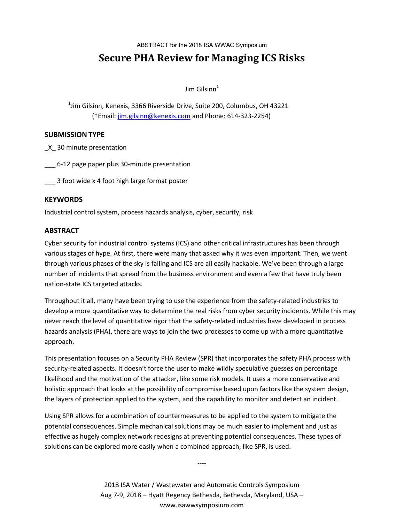ABSTRACT for the 2018 ISA WWAC Symposium

# **Secure PHA Review for Managing ICS Risks**

 $\lim$  Gilsinn<sup>1</sup>

 $^{\rm 1}$ Jim Gilsinn, Kenexis, 3366 Riverside Drive, Suite 200, Columbus, OH 43221 (\*Email: jim.gilsinn@kenexis.com and Phone: 614-323-2254)

## **SUBMISSION TYPE**

\_X\_ 30 minute presentation

\_\_\_ 6-12 page paper plus 30-minute presentation

\_\_\_ 3 foot wide x 4 foot high large format poster

### **KEYWORDS**

Industrial control system, process hazards analysis, cyber, security, risk

### **ABSTRACT**

Cyber security for industrial control systems (ICS) and other critical infrastructures has been through various stages of hype. At first, there were many that asked why it was even important. Then, we went through various phases of the sky is falling and ICS are all easily hackable. We've been through a large number of incidents that spread from the business environment and even a few that have truly been nation-state ICS targeted attacks.

Throughout it all, many have been trying to use the experience from the safety-related industries to develop a more quantitative way to determine the real risks from cyber security incidents. While this may never reach the level of quantitative rigor that the safety-related industries have developed in process hazards analysis (PHA), there are ways to join the two processes to come up with a more quantitative approach.

This presentation focuses on a Security PHA Review (SPR) that incorporates the safety PHA process with security-related aspects. It doesn't force the user to make wildly speculative guesses on percentage likelihood and the motivation of the attacker, like some risk models. It uses a more conservative and holistic approach that looks at the possibility of compromise based upon factors like the system design, the layers of protection applied to the system, and the capability to monitor and detect an incident.

Using SPR allows for a combination of countermeasures to be applied to the system to mitigate the potential consequences. Simple mechanical solutions may be much easier to implement and just as effective as hugely complex network redesigns at preventing potential consequences. These types of solutions can be explored more easily when a combined approach, like SPR, is used.

> 2018 ISA Water / Wastewater and Automatic Controls Symposium Aug 7-9, 2018 – Hyatt Regency Bethesda, Bethesda, Maryland, USA – www.isawwsymposium.com

----